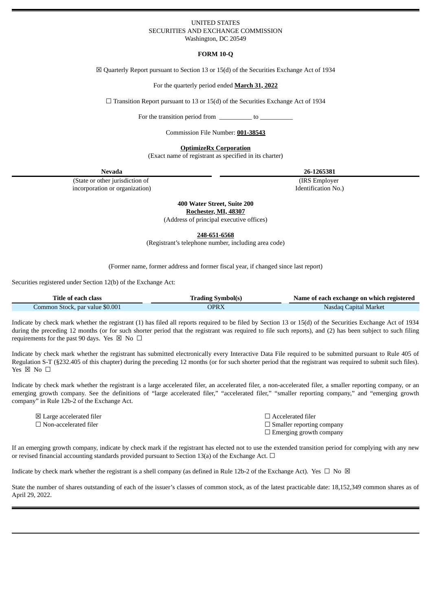# UNITED STATES SECURITIES AND EXCHANGE COMMISSION

Washington, DC 20549

## **FORM 10-Q**

☒ Quarterly Report pursuant to Section 13 or 15(d) of the Securities Exchange Act of 1934

For the quarterly period ended **March 31, 2022**

 $\Box$  Transition Report pursuant to 13 or 15(d) of the Securities Exchange Act of 1934

For the transition period from  $\_\_\_\_\_\_$  to  $\_\_\_\_\_\_$ 

Commission File Number: **001-38543**

#### **OptimizeRx Corporation**

(Exact name of registrant as specified in its charter)

(State or other jurisdiction of incorporation or organization)

**Nevada 26-1265381**

(IRS Employer Identification No.)

**400 Water Street, Suite 200 Rochester, MI, 48307**

(Address of principal executive offices)

**248-651-6568**

(Registrant's telephone number, including area code)

(Former name, former address and former fiscal year, if changed since last report)

Securities registered under Section 12(b) of the Exchange Act:

| Title of each class             | <b>Trading Symbol(s)</b> | Name of each exchange on which registered |
|---------------------------------|--------------------------|-------------------------------------------|
| Common Stock, par value \$0.001 | OPRX                     | Nasdag Capital Market                     |

Indicate by check mark whether the registrant (1) has filed all reports required to be filed by Section 13 or 15(d) of the Securities Exchange Act of 1934 during the preceding 12 months (or for such shorter period that the registrant was required to file such reports), and (2) has been subject to such filing requirements for the past 90 days. Yes  $\boxtimes$  No  $\Box$ 

Indicate by check mark whether the registrant has submitted electronically every Interactive Data File required to be submitted pursuant to Rule 405 of Regulation S-T (§232.405 of this chapter) during the preceding 12 months (or for such shorter period that the registrant was required to submit such files). Yes  $\boxtimes$  No  $\square$ 

Indicate by check mark whether the registrant is a large accelerated filer, an accelerated filer, a non-accelerated filer, a smaller reporting company, or an emerging growth company. See the definitions of "large accelerated filer," "accelerated filer," "smaller reporting company," and "emerging growth company" in Rule 12b-2 of the Exchange Act.

| $\boxtimes$ Large accelerated filer | $\Box$ Accelerated filer         |
|-------------------------------------|----------------------------------|
| $\Box$ Non-accelerated filer        | $\Box$ Smaller reporting company |
|                                     | $\Box$ Emerging growth company   |

If an emerging growth company, indicate by check mark if the registrant has elected not to use the extended transition period for complying with any new or revised financial accounting standards provided pursuant to Section 13(a) of the Exchange Act.  $\Box$ 

Indicate by check mark whether the registrant is a shell company (as defined in Rule 12b-2 of the Exchange Act). Yes  $\Box$  No  $\boxtimes$ 

State the number of shares outstanding of each of the issuer's classes of common stock, as of the latest practicable date: 18,152,349 common shares as of April 29, 2022.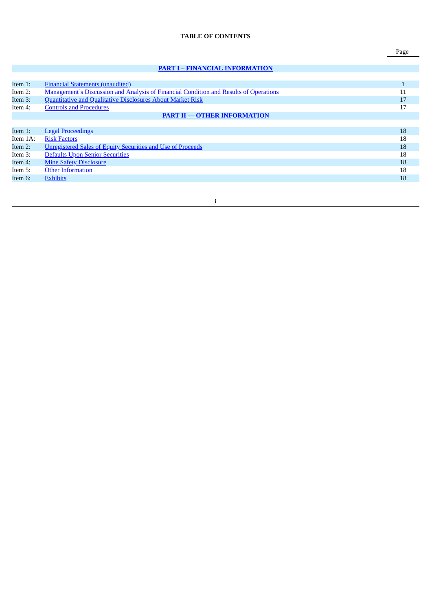# **TABLE OF CONTENTS**

# Page

# **PART I – FINANCIAL [INFORMATION](#page-2-0)**

| Item $1$ : | <b>Financial Statements (unaudited)</b>                                                      |    |
|------------|----------------------------------------------------------------------------------------------|----|
| Item 2:    | <b>Management's Discussion and Analysis of Financial Condition and Results of Operations</b> | 11 |
| Item 3:    | <b>Quantitative and Qualitative Disclosures About Market Risk</b>                            | 17 |
| Item $4$ : | <b>Controls and Procedures</b>                                                               | 17 |
|            | <b>PART II - OTHER INFORMATION</b>                                                           |    |
|            |                                                                                              |    |
| Item 1:    | <b>Legal Proceedings</b>                                                                     | 18 |
| Item 1A:   | <b>Risk Factors</b>                                                                          | 18 |
| Item 2:    | <b>Unregistered Sales of Equity Securities and Use of Proceeds</b>                           | 18 |
| Item 3:    | <b>Defaults Upon Senior Securities</b>                                                       | 18 |
| Item 4:    | <b>Mine Safety Disclosure</b>                                                                | 18 |
| Item 5:    | <b>Other Information</b>                                                                     | 18 |
| Item 6:    | <b>Exhibits</b>                                                                              | 18 |
|            |                                                                                              |    |

i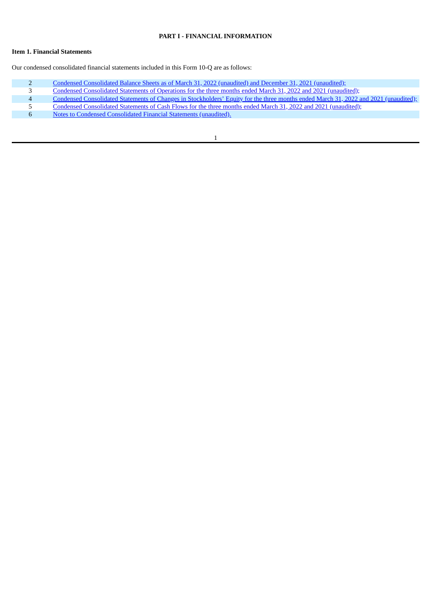# **PART I - FINANCIAL INFORMATION**

# <span id="page-2-1"></span><span id="page-2-0"></span>**Item 1. Financial Statements**

Our condensed consolidated financial statements included in this Form 10-Q are as follows:

| Condensed Consolidated Balance Sheets as of March 31, 2022 (unaudited) and December 31, 2021 (unaudited);       |
|-----------------------------------------------------------------------------------------------------------------|
| Condensed Consolidated Statements of Operations for the three months ended March 31, 2022 and 2021 (unaudited): |

- 4 Condensed Consolidated Statements of Changes in [Stockholders'](#page-5-0) Equity for the three months ended March 31, 2022 and 2021 (unaudited);
- 5 Condensed [Consolidated](#page-6-0) Statements of Cash Flows for the three months ended March 31, 2022 and 2021 (unaudited);
- 6 **Notes to Condensed [Consolidated](#page-7-0) Financial Statements (unaudited).**

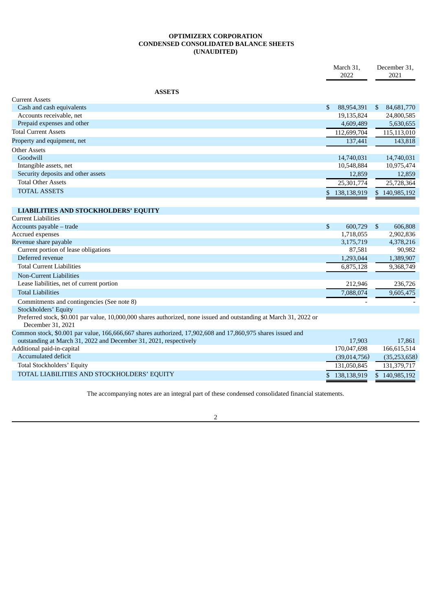# **OPTIMIZERX CORPORATION CONDENSED CONSOLIDATED BALANCE SHEETS (UNAUDITED)**

<span id="page-3-0"></span>

|                                                                                                                                                                                  |     | March 31,<br>2022 | December 31,<br>2021 |
|----------------------------------------------------------------------------------------------------------------------------------------------------------------------------------|-----|-------------------|----------------------|
| <b>ASSETS</b>                                                                                                                                                                    |     |                   |                      |
| Current Assets                                                                                                                                                                   |     |                   |                      |
| Cash and cash equivalents                                                                                                                                                        | \$  | 88,954,391        | \$<br>84,681,770     |
| Accounts receivable, net                                                                                                                                                         |     | 19,135,824        | 24,800,585           |
| Prepaid expenses and other                                                                                                                                                       |     | 4,609,489         | 5,630,655            |
| <b>Total Current Assets</b>                                                                                                                                                      |     | 112,699,704       | 115,113,010          |
| Property and equipment, net                                                                                                                                                      |     | 137,441           | 143,818              |
| <b>Other Assets</b>                                                                                                                                                              |     |                   |                      |
| Goodwill                                                                                                                                                                         |     | 14,740,031        | 14,740,031           |
| Intangible assets, net                                                                                                                                                           |     | 10,548,884        | 10,975,474           |
| Security deposits and other assets                                                                                                                                               |     | 12,859            | 12,859               |
| <b>Total Other Assets</b>                                                                                                                                                        |     | 25,301,774        | 25,728,364           |
| <b>TOTAL ASSETS</b>                                                                                                                                                              | \$. | 138,138,919       | \$140,985,192        |
|                                                                                                                                                                                  |     |                   |                      |
| <b>LIABILITIES AND STOCKHOLDERS' EQUITY</b>                                                                                                                                      |     |                   |                      |
| <b>Current Liabilities</b>                                                                                                                                                       |     |                   |                      |
| Accounts payable - trade                                                                                                                                                         | \$  | 600.729           | \$<br>606.808        |
| Accrued expenses                                                                                                                                                                 |     | 1,718,055         | 2,902,836            |
| Revenue share payable                                                                                                                                                            |     | 3,175,719         | 4,378,216            |
| Current portion of lease obligations                                                                                                                                             |     | 87,581            | 90,982               |
| Deferred revenue                                                                                                                                                                 |     | 1,293,044         | 1,389,907            |
| <b>Total Current Liabilities</b>                                                                                                                                                 |     | 6,875,128         | 9,368,749            |
| <b>Non-Current Liabilities</b>                                                                                                                                                   |     |                   |                      |
| Lease liabilities, net of current portion                                                                                                                                        |     | 212,946           | 236,726              |
| <b>Total Liabilities</b>                                                                                                                                                         |     | 7,088,074         | 9,605,475            |
| Commitments and contingencies (See note 8)                                                                                                                                       |     |                   |                      |
| Stockholders' Equity                                                                                                                                                             |     |                   |                      |
| Preferred stock, \$0.001 par value, 10,000,000 shares authorized, none issued and outstanding at March 31, 2022 or<br>December 31, 2021                                          |     |                   |                      |
| Common stock, \$0.001 par value, 166,666,667 shares authorized, 17,902,608 and 17,860,975 shares issued and<br>outstanding at March 31, 2022 and December 31, 2021, respectively |     | 17,903            | 17,861               |
| Additional paid-in-capital                                                                                                                                                       |     | 170,047,698       | 166,615,514          |
| Accumulated deficit                                                                                                                                                              |     | (39,014,756)      | (35, 253, 658)       |
| Total Stockholders' Equity                                                                                                                                                       |     | 131,050,845       | 131,379,717          |
| TOTAL LIABILITIES AND STOCKHOLDERS' EQUITY                                                                                                                                       | \$  | 138,138,919       | \$140,985,192        |

The accompanying notes are an integral part of these condensed consolidated financial statements.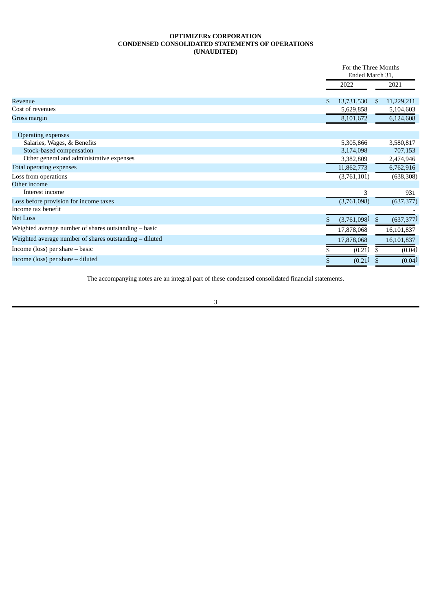# **OPTIMIZERx CORPORATION CONDENSED CONSOLIDATED STATEMENTS OF OPERATIONS (UNAUDITED)**

<span id="page-4-0"></span>

|                                                           |   | For the Three Months |     |            |  |
|-----------------------------------------------------------|---|----------------------|-----|------------|--|
|                                                           |   | Ended March 31,      |     |            |  |
|                                                           |   | 2022                 |     | 2021       |  |
| Revenue                                                   | S | 13,731,530           | \$. | 11,229,211 |  |
| Cost of revenues                                          |   | 5,629,858            |     | 5,104,603  |  |
| Gross margin                                              |   | 8,101,672            |     | 6,124,608  |  |
|                                                           |   |                      |     |            |  |
| <b>Operating expenses</b>                                 |   |                      |     |            |  |
| Salaries, Wages, & Benefits                               |   | 5,305,866            |     | 3,580,817  |  |
| Stock-based compensation                                  |   | 3,174,098            |     | 707,153    |  |
| Other general and administrative expenses                 |   | 3,382,809            |     | 2,474,946  |  |
| <b>Total operating expenses</b>                           |   | 11,862,773           |     | 6,762,916  |  |
| Loss from operations                                      |   | (3,761,101)          |     | (638, 308) |  |
| Other income                                              |   |                      |     |            |  |
| Interest income                                           |   | 3                    |     | 931        |  |
| Loss before provision for income taxes                    |   | (3,761,098)          |     | (637, 377) |  |
| Income tax benefit                                        |   |                      |     |            |  |
| <b>Net Loss</b>                                           |   | (3,761,098)          | \$  | (637, 377) |  |
| Weighted average number of shares outstanding - basic     |   | 17,878,068           |     | 16,101,837 |  |
| Weighted average number of shares outstanding $-$ diluted |   | 17,878,068           |     | 16,101,837 |  |
| Income (loss) per share $-$ basic                         |   | (0.21)               |     | (0.04)     |  |
| Income (loss) per share $-$ diluted                       |   | (0.21)               |     | (0.04)     |  |

The accompanying notes are an integral part of these condensed consolidated financial statements.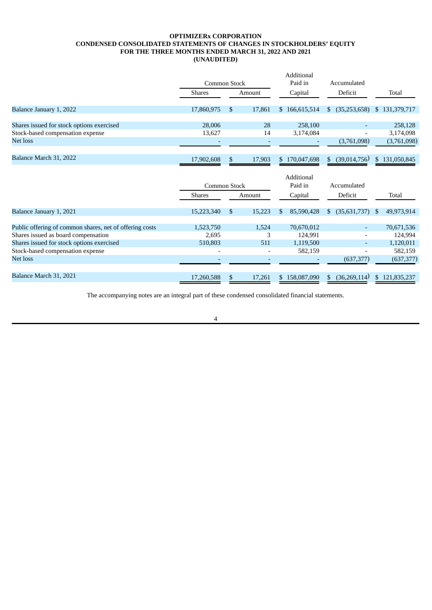# **OPTIMIZERx CORPORATION CONDENSED CONSOLIDATED STATEMENTS OF CHANGES IN STOCKHOLDERS' EQUITY FOR THE THREE MONTHS ENDED MARCH 31, 2022 AND 2021 (UNAUDITED)**

<span id="page-5-0"></span>

|                                                         |               | Additional<br>Paid in<br>Common Stock |        |                       | Accumulated |                          |              |                          |
|---------------------------------------------------------|---------------|---------------------------------------|--------|-----------------------|-------------|--------------------------|--------------|--------------------------|
|                                                         | <b>Shares</b> |                                       | Amount | Capital               |             | Deficit                  |              | Total                    |
| Balance January 1, 2022                                 | 17,860,975    | \$                                    | 17,861 | \$<br>166,615,514     | \$          | (35, 253, 658)           | \$           | 131,379,717              |
| Shares issued for stock options exercised               | 28,006        |                                       | 28     | 258,100               |             |                          |              | 258,128                  |
| Stock-based compensation expense<br>Net loss            | 13,627        |                                       | 14     | 3,174,084             |             | (3,761,098)              |              | 3,174,098<br>(3,761,098) |
| Balance March 31, 2022                                  | 17,902,608    | \$                                    | 17,903 | \$170,047,698         | \$          | (39,014,756)             | $\mathbb{S}$ | 131,050,845              |
|                                                         | Common Stock  |                                       |        | Additional<br>Paid in |             | Accumulated              |              |                          |
|                                                         | <b>Shares</b> |                                       | Amount | Capital               |             | Deficit                  |              | Total                    |
| Balance January 1, 2021                                 | 15,223,340    | \$                                    | 15,223 | 85,590,428<br>S       | \$          | (35,631,737)             | \$.          | 49,973,914               |
| Public offering of common shares, net of offering costs | 1,523,750     |                                       | 1,524  | 70,670,012            |             |                          |              | 70,671,536               |
| Shares issued as board compensation                     | 2,695         |                                       | 3      | 124,991               |             | -                        |              | 124,994                  |
| Shares issued for stock options exercised               | 510,803       |                                       | 511    | 1,119,500             |             | ٠                        |              | 1,120,011                |
| Stock-based compensation expense                        |               |                                       |        | 582,159               |             | $\overline{\phantom{0}}$ |              | 582,159                  |
| <b>Net loss</b>                                         |               |                                       |        |                       |             | (637, 377)               |              | (637, 377)               |
| Balance March 31, 2021                                  | 17,260,588    | \$                                    | 17,261 | \$158,087,090         | \$          | (36, 269, 114)           | \$           | 121,835,237              |

The accompanying notes are an integral part of these condensed consolidated financial statements.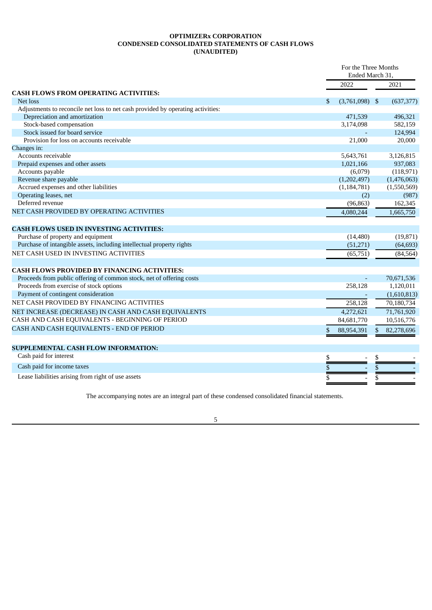# **OPTIMIZERx CORPORATION CONDENSED CONSOLIDATED STATEMENTS OF CASH FLOWS (UNAUDITED)**

<span id="page-6-0"></span>

|                                                                                 | For the Three Months<br>Ended March 31. |    |             |
|---------------------------------------------------------------------------------|-----------------------------------------|----|-------------|
|                                                                                 | 2022                                    |    | 2021        |
| <b>CASH FLOWS FROM OPERATING ACTIVITIES:</b>                                    |                                         |    |             |
| Net loss                                                                        | \$<br>$(3,761,098)$ \$                  |    | (637, 377)  |
| Adjustments to reconcile net loss to net cash provided by operating activities: |                                         |    |             |
| Depreciation and amortization                                                   | 471,539                                 |    | 496,321     |
| Stock-based compensation                                                        | 3,174,098                               |    | 582,159     |
| Stock issued for board service                                                  |                                         |    | 124,994     |
| Provision for loss on accounts receivable                                       | 21,000                                  |    | 20,000      |
| Changes in:                                                                     |                                         |    |             |
| Accounts receivable                                                             | 5,643,761                               |    | 3,126,815   |
| Prepaid expenses and other assets                                               | 1,021,166                               |    | 937,083     |
| Accounts payable                                                                | (6,079)                                 |    | (118, 971)  |
| Revenue share payable                                                           | (1,202,497)                             |    | (1,476,063) |
| Accrued expenses and other liabilities                                          | (1, 184, 781)                           |    | (1,550,569) |
| Operating leases, net                                                           | (2)                                     |    | (987)       |
| Deferred revenue                                                                | (96, 863)                               |    | 162,345     |
| NET CASH PROVIDED BY OPERATING ACTIVITIES                                       | 4,080,244                               |    | 1,665,750   |
| <b>CASH FLOWS USED IN INVESTING ACTIVITIES:</b>                                 |                                         |    |             |
| Purchase of property and equipment                                              | (14, 480)                               |    | (19, 871)   |
| Purchase of intangible assets, including intellectual property rights           | (51,271)                                |    | (64, 693)   |
| NET CASH USED IN INVESTING ACTIVITIES                                           | (65, 751)                               |    | (84, 564)   |
| <b>CASH FLOWS PROVIDED BY FINANCING ACTIVITIES:</b>                             |                                         |    |             |
| Proceeds from public offering of common stock, net of offering costs            | $\blacksquare$                          |    | 70,671,536  |
| Proceeds from exercise of stock options                                         | 258,128                                 |    | 1,120,011   |
| Payment of contingent consideration                                             |                                         |    | (1,610,813) |
| NET CASH PROVIDED BY FINANCING ACTIVITIES                                       | 258,128                                 |    | 70,180,734  |
| NET INCREASE (DECREASE) IN CASH AND CASH EQUIVALENTS                            | 4,272,621                               |    | 71,761,920  |
| CASH AND CASH EQUIVALENTS - BEGINNING OF PERIOD                                 | 84,681,770                              |    | 10,516,776  |
|                                                                                 |                                         |    |             |
| CASH AND CASH EQUIVALENTS - END OF PERIOD                                       | 88,954,391                              | \$ | 82,278,696  |
| SUPPLEMENTAL CASH FLOW INFORMATION:                                             |                                         |    |             |
| Cash paid for interest                                                          | \$                                      | \$ |             |
| Cash paid for income taxes                                                      | \$                                      | \$ |             |
| Lease liabilities arising from right of use assets                              | \$                                      | S  |             |

The accompanying notes are an integral part of these condensed consolidated financial statements.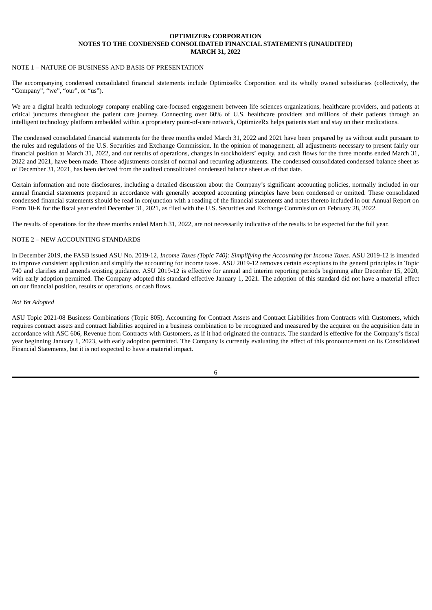## <span id="page-7-0"></span>NOTE 1 – NATURE OF BUSINESS AND BASIS OF PRESENTATION

The accompanying condensed consolidated financial statements include OptimizeRx Corporation and its wholly owned subsidiaries (collectively, the "Company", "we", "our", or "us").

We are a digital health technology company enabling care-focused engagement between life sciences organizations, healthcare providers, and patients at critical junctures throughout the patient care journey. Connecting over 60% of U.S. healthcare providers and millions of their patients through an intelligent technology platform embedded within a proprietary point-of-care network, OptimizeRx helps patients start and stay on their medications.

The condensed consolidated financial statements for the three months ended March 31, 2022 and 2021 have been prepared by us without audit pursuant to the rules and regulations of the U.S. Securities and Exchange Commission. In the opinion of management, all adjustments necessary to present fairly our financial position at March 31, 2022, and our results of operations, changes in stockholders' equity, and cash flows for the three months ended March 31, 2022 and 2021, have been made. Those adjustments consist of normal and recurring adjustments. The condensed consolidated condensed balance sheet as of December 31, 2021, has been derived from the audited consolidated condensed balance sheet as of that date.

Certain information and note disclosures, including a detailed discussion about the Company's significant accounting policies, normally included in our annual financial statements prepared in accordance with generally accepted accounting principles have been condensed or omitted. These consolidated condensed financial statements should be read in conjunction with a reading of the financial statements and notes thereto included in our Annual Report on Form 10-K for the fiscal year ended December 31, 2021, as filed with the U.S. Securities and Exchange Commission on February 28, 2022.

The results of operations for the three months ended March 31, 2022, are not necessarily indicative of the results to be expected for the full year.

#### NOTE 2 – NEW ACCOUNTING STANDARDS

In December 2019, the FASB issued ASU No. 2019-12, *Income Taxes (Topic 740): Simplifying the Accounting for Income Taxes*. ASU 2019-12 is intended to improve consistent application and simplify the accounting for income taxes. ASU 2019-12 removes certain exceptions to the general principles in Topic 740 and clarifies and amends existing guidance. ASU 2019-12 is effective for annual and interim reporting periods beginning after December 15, 2020, with early adoption permitted. The Company adopted this standard effective January 1, 2021. The adoption of this standard did not have a material effect on our financial position, results of operations, or cash flows.

#### *Not Yet Adopted*

ASU Topic 2021-08 Business Combinations (Topic 805), Accounting for Contract Assets and Contract Liabilities from Contracts with Customers, which requires contract assets and contract liabilities acquired in a business combination to be recognized and measured by the acquirer on the acquisition date in accordance with ASC 606, Revenue from Contracts with Customers, as if it had originated the contracts. The standard is effective for the Company's fiscal year beginning January 1, 2023, with early adoption permitted. The Company is currently evaluating the effect of this pronouncement on its Consolidated Financial Statements, but it is not expected to have a material impact.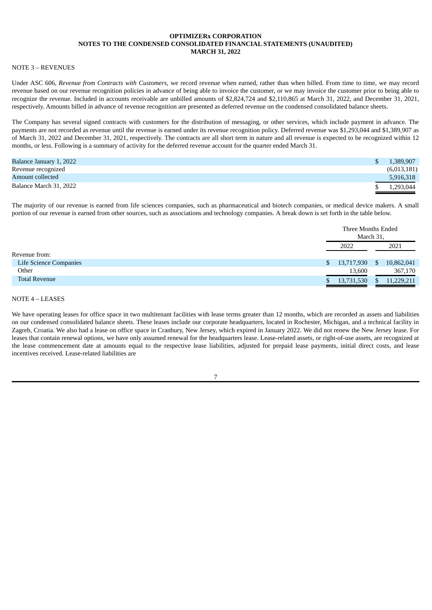#### NOTE 3 – REVENUES

Under ASC 606, *Revenue from Contracts with Customers*, we record revenue when earned, rather than when billed. From time to time, we may record revenue based on our revenue recognition policies in advance of being able to invoice the customer, or we may invoice the customer prior to being able to recognize the revenue. Included in accounts receivable are unbilled amounts of \$2,824,724 and \$2,110,865 at March 31, 2022, and December 31, 2021, respectively. Amounts billed in advance of revenue recognition are presented as deferred revenue on the condensed consolidated balance sheets.

The Company has several signed contracts with customers for the distribution of messaging, or other services, which include payment in advance. The payments are not recorded as revenue until the revenue is earned under its revenue recognition policy. Deferred revenue was \$1,293,044 and \$1,389,907 as of March 31, 2022 and December 31, 2021, respectively. The contracts are all short term in nature and all revenue is expected to be recognized within 12 months, or less. Following is a summary of activity for the deferred revenue account for the quarter ended March 31.

| Balance January 1, 2022 | 1,389,907   |
|-------------------------|-------------|
| Revenue recognized      | (6,013,181) |
| Amount collected        | 5,916,318   |
| Balance March 31, 2022  | 1.293.044   |

The majority of our revenue is earned from life sciences companies, such as pharmaceutical and biotech companies, or medical device makers. A small portion of our revenue is earned from other sources, such as associations and technology companies. A break down is set forth in the table below.

|                               |     | Three Months Ended<br>March 31, |    |            |
|-------------------------------|-----|---------------------------------|----|------------|
|                               |     | 2022                            |    | 2021       |
| Revenue from:                 |     |                                 |    |            |
| <b>Life Science Companies</b> | \$. | 13,717,930                      | \$ | 10,862,041 |
| Other                         |     | 13,600                          |    | 367,170    |
| <b>Total Revenue</b>          |     | 13,731,530                      |    | 11,229,211 |

#### NOTE 4 – LEASES

We have operating leases for office space in two multitenant facilities with lease terms greater than 12 months, which are recorded as assets and liabilities on our condensed consolidated balance sheets. These leases include our corporate headquarters, located in Rochester, Michigan, and a technical facility in Zagreb, Croatia. We also had a lease on office space in Cranbury, New Jersey, which expired in January 2022. We did not renew the New Jersey lease. For leases that contain renewal options, we have only assumed renewal for the headquarters lease. Lease-related assets, or right-of-use assets, are recognized at the lease commencement date at amounts equal to the respective lease liabilities, adjusted for prepaid lease payments, initial direct costs, and lease incentives received. Lease-related liabilities are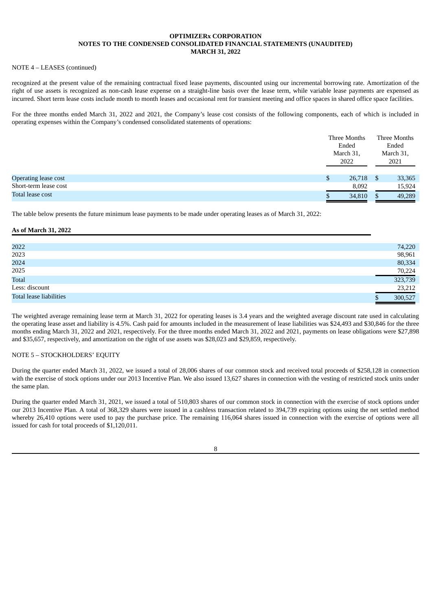#### NOTE 4 – LEASES (continued)

recognized at the present value of the remaining contractual fixed lease payments, discounted using our incremental borrowing rate. Amortization of the right of use assets is recognized as non-cash lease expense on a straight-line basis over the lease term, while variable lease payments are expensed as incurred. Short term lease costs include month to month leases and occasional rent for transient meeting and office spaces in shared office space facilities.

For the three months ended March 31, 2022 and 2021, the Company's lease cost consists of the following components, each of which is included in operating expenses within the Company's condensed consolidated statements of operations:

|                       |    | Three Months<br>Ended<br>March 31, |     | Three Months<br>Ended |  |
|-----------------------|----|------------------------------------|-----|-----------------------|--|
|                       |    |                                    |     | March 31,             |  |
|                       |    | 2022                               |     | 2021                  |  |
| Operating lease cost  | \$ | 26,718                             | S   | 33,365                |  |
| Short-term lease cost |    | 8,092                              |     | 15,924                |  |
| Total lease cost      |    | 34,810                             | SS. | 49,289                |  |

The table below presents the future minimum lease payments to be made under operating leases as of March 31, 2022:

#### **As of March 31, 2022**

| 2022                           | 74,220  |
|--------------------------------|---------|
| 2023                           | 98,961  |
| 2024                           | 80,334  |
| 2025                           | 70,224  |
| <b>Total</b>                   | 323,739 |
| Less: discount                 | 23,212  |
| <b>Total lease liabilities</b> | 300,527 |

The weighted average remaining lease term at March 31, 2022 for operating leases is 3.4 years and the weighted average discount rate used in calculating the operating lease asset and liability is 4.5%. Cash paid for amounts included in the measurement of lease liabilities was \$24,493 and \$30,846 for the three months ending March 31, 2022 and 2021, respectively. For the three months ended March 31, 2022 and 2021, payments on lease obligations were \$27,898 and \$35,657, respectively, and amortization on the right of use assets was \$28,023 and \$29,859, respectively.

#### NOTE 5 – STOCKHOLDERS' EQUITY

During the quarter ended March 31, 2022, we issued a total of 28,006 shares of our common stock and received total proceeds of \$258,128 in connection with the exercise of stock options under our 2013 Incentive Plan. We also issued 13,627 shares in connection with the vesting of restricted stock units under the same plan.

During the quarter ended March 31, 2021, we issued a total of 510,803 shares of our common stock in connection with the exercise of stock options under our 2013 Incentive Plan. A total of 368,329 shares were issued in a cashless transaction related to 394,739 expiring options using the net settled method whereby 26,410 options were used to pay the purchase price. The remaining 116,064 shares issued in connection with the exercise of options were all issued for cash for total proceeds of \$1,120,011.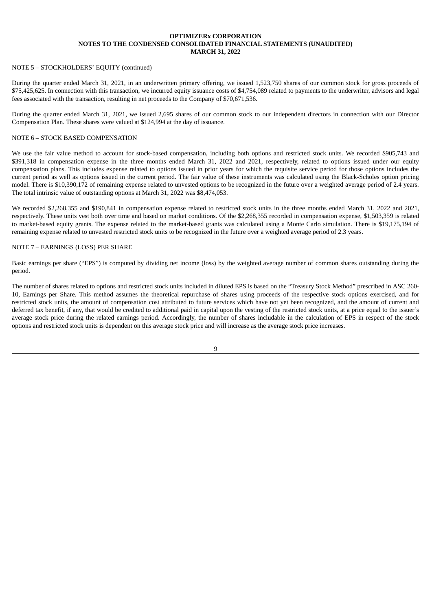## NOTE 5 – STOCKHOLDERS' EQUITY (continued)

During the quarter ended March 31, 2021, in an underwritten primary offering, we issued 1,523,750 shares of our common stock for gross proceeds of \$75,425,625. In connection with this transaction, we incurred equity issuance costs of \$4,754,089 related to payments to the underwriter, advisors and legal fees associated with the transaction, resulting in net proceeds to the Company of \$70,671,536.

During the quarter ended March 31, 2021, we issued 2,695 shares of our common stock to our independent directors in connection with our Director Compensation Plan. These shares were valued at \$124,994 at the day of issuance.

#### NOTE 6 – STOCK BASED COMPENSATION

We use the fair value method to account for stock-based compensation, including both options and restricted stock units. We recorded \$905,743 and \$391,318 in compensation expense in the three months ended March 31, 2022 and 2021, respectively, related to options issued under our equity compensation plans. This includes expense related to options issued in prior years for which the requisite service period for those options includes the current period as well as options issued in the current period. The fair value of these instruments was calculated using the Black-Scholes option pricing model. There is \$10,390,172 of remaining expense related to unvested options to be recognized in the future over a weighted average period of 2.4 years. The total intrinsic value of outstanding options at March 31, 2022 was \$8,474,053.

We recorded \$2,268,355 and \$190,841 in compensation expense related to restricted stock units in the three months ended March 31, 2022 and 2021, respectively. These units vest both over time and based on market conditions. Of the \$2,268,355 recorded in compensation expense, \$1,503,359 is related to market-based equity grants. The expense related to the market-based grants was calculated using a Monte Carlo simulation. There is \$19,175,194 of remaining expense related to unvested restricted stock units to be recognized in the future over a weighted average period of 2.3 years.

#### NOTE 7 – EARNINGS (LOSS) PER SHARE

Basic earnings per share ("EPS") is computed by dividing net income (loss) by the weighted average number of common shares outstanding during the period.

The number of shares related to options and restricted stock units included in diluted EPS is based on the "Treasury Stock Method" prescribed in ASC 260- 10, Earnings per Share. This method assumes the theoretical repurchase of shares using proceeds of the respective stock options exercised, and for restricted stock units, the amount of compensation cost attributed to future services which have not yet been recognized, and the amount of current and deferred tax benefit, if any, that would be credited to additional paid in capital upon the vesting of the restricted stock units, at a price equal to the issuer's average stock price during the related earnings period. Accordingly, the number of shares includable in the calculation of EPS in respect of the stock options and restricted stock units is dependent on this average stock price and will increase as the average stock price increases.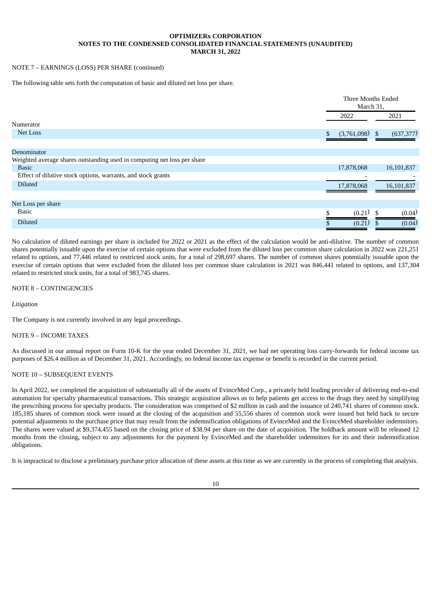# NOTE 7 – EARNINGS (LOSS) PER SHARE (continued)

The following table sets forth the computation of basic and diluted net loss per share.

|                                                                          |   | Three Months Ended<br>March 31, |              |            |
|--------------------------------------------------------------------------|---|---------------------------------|--------------|------------|
|                                                                          |   | 2022                            |              | 2021       |
| Numerator                                                                |   |                                 |              |            |
| Net Loss                                                                 |   | (3,761,098)                     | $\mathbb{S}$ | (637, 377) |
|                                                                          |   |                                 |              |            |
| Denominator                                                              |   |                                 |              |            |
| Weighted average shares outstanding used in computing net loss per share |   |                                 |              |            |
| <b>Basic</b>                                                             |   | 17,878,068                      |              | 16,101,837 |
| Effect of dilutive stock options, warrants, and stock grants             |   |                                 |              |            |
| <b>Diluted</b>                                                           |   | 17,878,068                      |              | 16,101,837 |
|                                                                          |   |                                 |              |            |
| Net Loss per share                                                       |   |                                 |              |            |
| <b>Basic</b>                                                             | ሖ | (0.21)                          | - \$         | (0.04)     |
| <b>Diluted</b>                                                           |   | (0.21)                          |              | (0.04)     |

No calculation of diluted earnings per share is included for 2022 or 2021 as the effect of the calculation would be anti-dilutive. The number of common shares potentially issuable upon the exercise of certain options that were excluded from the diluted loss per common share calculation in 2022 was 221,251 related to options, and 77,446 related to restricted stock units, for a total of 298,697 shares. The number of common shares potentially issuable upon the exercise of certain options that were excluded from the diluted loss per common share calculation in 2021 was 846,441 related to options, and 137,304 related to restricted stock units, for a total of 983,745 shares.

## NOTE 8 – CONTINGENCIES

*Litigation*

The Company is not currently involved in any legal proceedings.

#### NOTE 9 – INCOME TAXES

As discussed in our annual report on Form 10-K for the year ended December 31, 2021, we had net operating loss carry-forwards for federal income tax purposes of \$26.4 million as of December 31, 2021. Accordingly, no federal income tax expense or benefit is recorded in the current period.

## NOTE 10 – SUBSEQUENT EVENTS

In April 2022, we completed the acquisition of substantially all of the assets of EvinceMed Corp., a privately held leading provider of delivering end-to-end automation for specialty pharmaceutical transactions. This strategic acquisition allows us to help patients get access to the drugs they need by simplifying the prescribing process for specialty products. The consideration was comprised of \$2 million in cash and the issuance of 240,741 shares of common stock. 185,185 shares of common stock were issued at the closing of the acquisition and 55,556 shares of common stock were issued but held back to secure potential adjustments to the purchase price that may result from the indemnification obligations of EvinceMed and the EvinceMed shareholder indemnitors. The shares were valued at \$9,374,455 based on the closing price of \$38.94 per share on the date of acquisition. The holdback amount will be released 12 months from the closing, subject to any adjustments for the payment by EvinceMed and the shareholder indemnitors for its and their indemnification obligations.

It is impractical to disclose a preliminary purchase price allocation of these assets at this time as we are currently in the process of completing that analysis.

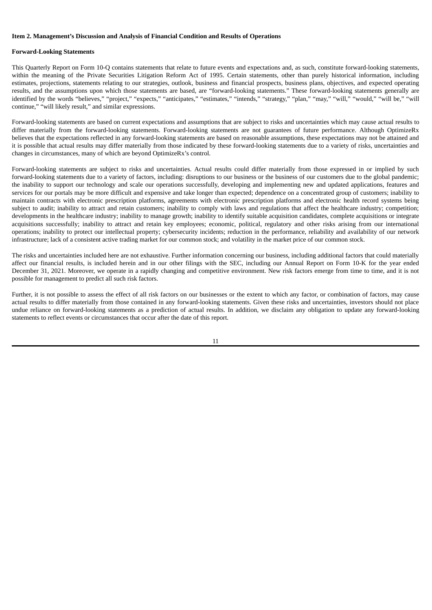#### <span id="page-12-0"></span>**Item 2. Management's Discussion and Analysis of Financial Condition and Results of Operations**

#### **Forward-Looking Statements**

This Quarterly Report on Form 10-Q contains statements that relate to future events and expectations and, as such, constitute forward-looking statements, within the meaning of the Private Securities Litigation Reform Act of 1995. Certain statements, other than purely historical information, including estimates, projections, statements relating to our strategies, outlook, business and financial prospects, business plans, objectives, and expected operating results, and the assumptions upon which those statements are based, are "forward-looking statements." These forward-looking statements generally are identified by the words "believes," "project," "expects," "anticipates," "estimates," "intends," "strategy," "plan," "may," "will," "would," "will be," "will continue," "will likely result," and similar expressions.

Forward-looking statements are based on current expectations and assumptions that are subject to risks and uncertainties which may cause actual results to differ materially from the forward-looking statements. Forward-looking statements are not guarantees of future performance. Although OptimizeRx believes that the expectations reflected in any forward-looking statements are based on reasonable assumptions, these expectations may not be attained and it is possible that actual results may differ materially from those indicated by these forward-looking statements due to a variety of risks, uncertainties and changes in circumstances, many of which are beyond OptimizeRx's control.

Forward-looking statements are subject to risks and uncertainties. Actual results could differ materially from those expressed in or implied by such forward-looking statements due to a variety of factors, including: disruptions to our business or the business of our customers due to the global pandemic; the inability to support our technology and scale our operations successfully, developing and implementing new and updated applications, features and services for our portals may be more difficult and expensive and take longer than expected; dependence on a concentrated group of customers; inability to maintain contracts with electronic prescription platforms, agreements with electronic prescription platforms and electronic health record systems being subject to audit; inability to attract and retain customers; inability to comply with laws and regulations that affect the healthcare industry; competition; developments in the healthcare industry; inability to manage growth; inability to identify suitable acquisition candidates, complete acquisitions or integrate acquisitions successfully; inability to attract and retain key employees; economic, political, regulatory and other risks arising from our international operations; inability to protect our intellectual property; cybersecurity incidents; reduction in the performance, reliability and availability of our network infrastructure; lack of a consistent active trading market for our common stock; and volatility in the market price of our common stock.

The risks and uncertainties included here are not exhaustive. Further information concerning our business, including additional factors that could materially affect our financial results, is included herein and in our other filings with the SEC, including our Annual Report on Form 10-K for the year ended December 31, 2021. Moreover, we operate in a rapidly changing and competitive environment. New risk factors emerge from time to time, and it is not possible for management to predict all such risk factors.

Further, it is not possible to assess the effect of all risk factors on our businesses or the extent to which any factor, or combination of factors, may cause actual results to differ materially from those contained in any forward-looking statements. Given these risks and uncertainties, investors should not place undue reliance on forward-looking statements as a prediction of actual results. In addition, we disclaim any obligation to update any forward-looking statements to reflect events or circumstances that occur after the date of this report.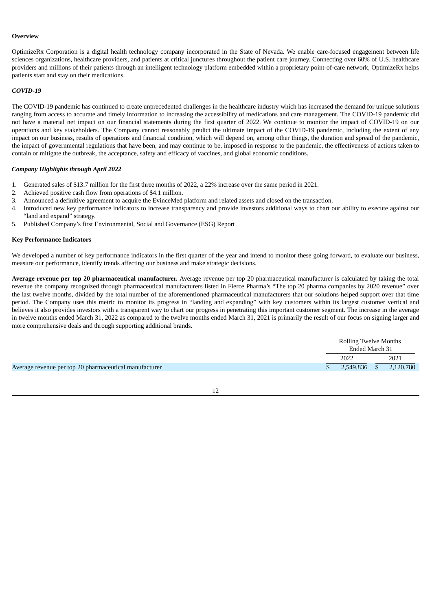## **Overview**

OptimizeRx Corporation is a digital health technology company incorporated in the State of Nevada. We enable care-focused engagement between life sciences organizations, healthcare providers, and patients at critical junctures throughout the patient care journey. Connecting over 60% of U.S. healthcare providers and millions of their patients through an intelligent technology platform embedded within a proprietary point-of-care network, OptimizeRx helps patients start and stay on their medications.

#### *COVID-19*

The COVID-19 pandemic has continued to create unprecedented challenges in the healthcare industry which has increased the demand for unique solutions ranging from access to accurate and timely information to increasing the accessibility of medications and care management. The COVID-19 pandemic did not have a material net impact on our financial statements during the first quarter of 2022. We continue to monitor the impact of COVID-19 on our operations and key stakeholders. The Company cannot reasonably predict the ultimate impact of the COVID-19 pandemic, including the extent of any impact on our business, results of operations and financial condition, which will depend on, among other things, the duration and spread of the pandemic, the impact of governmental regulations that have been, and may continue to be, imposed in response to the pandemic, the effectiveness of actions taken to contain or mitigate the outbreak, the acceptance, safety and efficacy of vaccines, and global economic conditions.

#### *Company Highlights through April 2022*

- 1. Generated sales of \$13.7 million for the first three months of 2022, a 22% increase over the same period in 2021.
- 2. Achieved positive cash flow from operations of \$4.1 million.
- 3. Announced a definitive agreement to acquire the EvinceMed platform and related assets and closed on the transaction.
- 4. Introduced new key performance indicators to increase transparency and provide investors additional ways to chart our ability to execute against our "land and expand" strategy.
- 5. Published Company's first Environmental, Social and Governance (ESG) Report

#### **Key Performance Indicators**

We developed a number of key performance indicators in the first quarter of the year and intend to monitor these going forward, to evaluate our business, measure our performance, identify trends affecting our business and make strategic decisions.

**Average revenue per top 20 pharmaceutical manufacturer.** Average revenue per top 20 pharmaceutical manufacturer is calculated by taking the total revenue the company recognized through pharmaceutical manufacturers listed in Fierce Pharma's "The top 20 pharma companies by 2020 revenue" over the last twelve months, divided by the total number of the aforementioned pharmaceutical manufacturers that our solutions helped support over that time period. The Company uses this metric to monitor its progress in "landing and expanding" with key customers within its largest customer vertical and believes it also provides investors with a transparent way to chart our progress in penetrating this important customer segment. The increase in the average in twelve months ended March 31, 2022 as compared to the twelve months ended March 31, 2021 is primarily the result of our focus on signing larger and more comprehensive deals and through supporting additional brands.

|                                                        | <b>Rolling Twelve Months</b><br>Ended March 31 |           |    |           |
|--------------------------------------------------------|------------------------------------------------|-----------|----|-----------|
|                                                        |                                                | 2022      |    | 2021      |
| Average revenue per top 20 pharmaceutical manufacturer | SS.                                            | 2.549.836 | S. | 2.120.780 |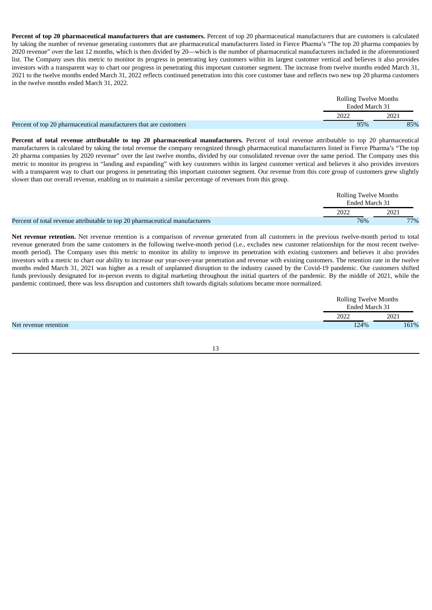**Percent of top 20 pharmaceutical manufacturers that are customers.** Percent of top 20 pharmaceutical manufacturers that are customers is calculated by taking the number of revenue generating customers that are pharmaceutical manufacturers listed in Fierce Pharma's "The top 20 pharma companies by 2020 revenue" over the last 12 months, which is then divided by 20—which is the number of pharmaceutical manufacturers included in the aforementioned list. The Company uses this metric to monitor its progress in penetrating key customers within its largest customer vertical and believes it also provides investors with a transparent way to chart our progress in penetrating this important customer segment. The increase from twelve months ended March 31, 2021 to the twelve months ended March 31, 2022 reflects continued penetration into this core customer base and reflects two new top 20 pharma customers in the twelve months ended March 31, 2022.

|                                                                   |      | <b>Rolling Twelve Months</b><br>Ended March 31 |      |     |
|-------------------------------------------------------------------|------|------------------------------------------------|------|-----|
|                                                                   | 2022 |                                                | 2021 |     |
| Percent of top 20 pharmaceutical manufacturers that are customers |      | 95%                                            |      | 85% |

**Percent of total revenue attributable to top 20 pharmaceutical manufacturers.** Percent of total revenue attributable to top 20 pharmaceutical manufacturers is calculated by taking the total revenue the company recognized through pharmaceutical manufacturers listed in Fierce Pharma's "The top 20 pharma companies by 2020 revenue" over the last twelve months, divided by our consolidated revenue over the same period. The Company uses this metric to monitor its progress in "landing and expanding" with key customers within its largest customer vertical and believes it also provides investors with a transparent way to chart our progress in penetrating this important customer segment. Our revenue from this core group of customers grew slightly slower than our overall revenue, enabling us to maintain a similar percentage of revenues from this group.

|                                                                              | <b>Rolling Twelve Months</b><br>Ended March 31 |      |     |
|------------------------------------------------------------------------------|------------------------------------------------|------|-----|
|                                                                              | 2022                                           | 2021 |     |
| Percent of total revenue attributable to top 20 pharmaceutical manufacturers | 76%                                            |      | 77% |

**Net revenue retention.** Net revenue retention is a comparison of revenue generated from all customers in the previous twelve-month period to total revenue generated from the same customers in the following twelve-month period (i.e., excludes new customer relationships for the most recent twelvemonth period). The Company uses this metric to monitor its ability to improve its penetration with existing customers and believes it also provides investors with a metric to chart our ability to increase our year-over-year penetration and revenue with existing customers. The retention rate in the twelve months ended March 31, 2021 was higher as a result of unplanned disruption to the industry caused by the Covid-19 pandemic. Our customers shifted funds previously designated for in-person events to digital marketing throughout the initial quarters of the pandemic. By the middle of 2021, while the pandemic continued, there was less disruption and customers shift towards digitals solutions became more normalized.

|                       | <b>Rolling Twelve Months</b><br>Ended March 31 |      |
|-----------------------|------------------------------------------------|------|
|                       | 2022                                           | 2021 |
| Net revenue retention | 124%                                           | 161% |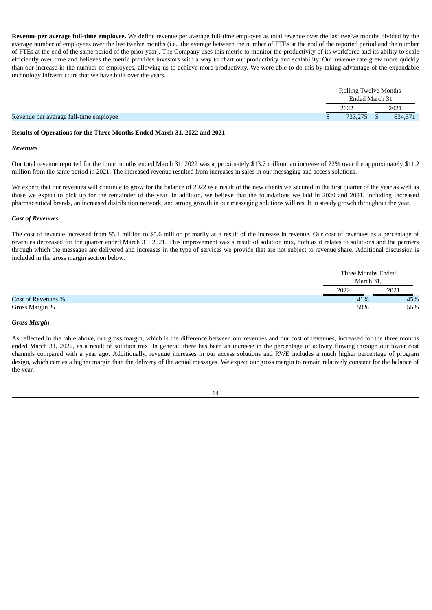**Revenue per average full-time employee.** We define revenue per average full-time employee as total revenue over the last twelve months divided by the average number of employees over the last twelve months (i.e., the average between the number of FTEs at the end of the reported period and the number of FTEs at the end of the same period of the prior year). The Company uses this metric to monitor the productivity of its workforce and its ability to scale efficiently over time and believes the metric provides investors with a way to chart our productivity and scalability. Our revenue rate grew more quickly than our increase in the number of employees, allowing us to achieve more productivity. We were able to do this by taking advantage of the expandable technology infrastructure that we have built over the years.

|                                        | <b>Rolling Twelve Months</b><br>Ended March 31 |  |         |
|----------------------------------------|------------------------------------------------|--|---------|
|                                        | 2022                                           |  | 2021    |
| Revenue per average full-time employee | 733.275                                        |  | 634,571 |

#### **Results of Operations for the Three Months Ended March 31, 2022 and 2021**

#### *Revenues*

Our total revenue reported for the three months ended March 31, 2022 was approximately \$13.7 million, an increase of 22% over the approximately \$11.2 million from the same period in 2021. The increased revenue resulted from increases in sales in our messaging and access solutions.

We expect that our revenues will continue to grow for the balance of 2022 as a result of the new clients we secured in the first quarter of the year as well as those we expect to pick up for the remainder of the year. In addition, we believe that the foundations we laid in 2020 and 2021, including increased pharmaceutical brands, an increased distribution network, and strong growth in our messaging solutions will result in steady growth throughout the year.

## *Cost of Revenues*

The cost of revenue increased from \$5.1 million to \$5.6 million primarily as a result of the increase in revenue. Our cost of revenues as a percentage of revenues decreased for the quarter ended March 31, 2021. This improvement was a result of solution mix, both as it relates to solutions and the partners through which the messages are delivered and increases in the type of services we provide that are not subject to revenue share. Additional discussion is included in the gross margin section below.

|                    |      | Three Months Ended<br>March 31, |
|--------------------|------|---------------------------------|
|                    | 2022 | 2021                            |
| Cost of Revenues % |      | 41%<br>45%                      |
| Gross Margin %     |      | 59%<br>55%                      |

#### *Gross Margin*

As reflected in the table above, our gross margin, which is the difference between our revenues and our cost of revenues, increased for the three months ended March 31, 2022, as a result of solution mix. In general, there has been an increase in the percentage of activity flowing through our lower cost channels compared with a year ago. Additionally, revenue increases in our access solutions and RWE includes a much higher percentage of program design, which carries a higher margin than the delivery of the actual messages. We expect our gross margin to remain relatively constant for the balance of the year.

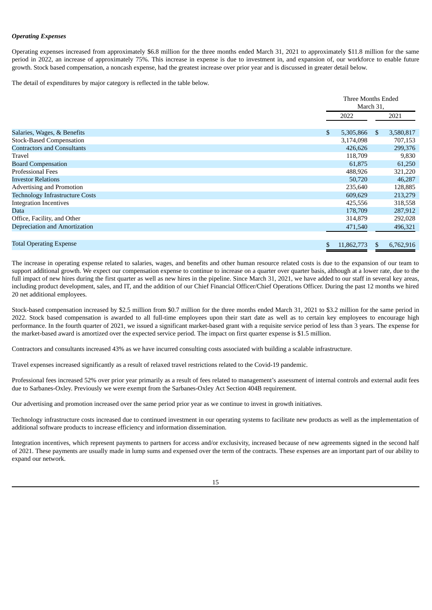## *Operating Expenses*

Operating expenses increased from approximately \$6.8 million for the three months ended March 31, 2021 to approximately \$11.8 million for the same period in 2022, an increase of approximately 75%. This increase in expense is due to investment in, and expansion of, our workforce to enable future growth. Stock based compensation, a noncash expense, had the greatest increase over prior year and is discussed in greater detail below.

The detail of expenditures by major category is reflected in the table below.

|                                        | Three Months Ended<br>March 31, |     |           |
|----------------------------------------|---------------------------------|-----|-----------|
|                                        | 2022                            |     | 2021      |
|                                        |                                 |     |           |
| Salaries, Wages, & Benefits            | \$<br>5,305,866                 | S.  | 3,580,817 |
| <b>Stock-Based Compensation</b>        | 3,174,098                       |     | 707,153   |
| <b>Contractors and Consultants</b>     | 426,626                         |     | 299,376   |
| Travel                                 | 118,709                         |     | 9,830     |
| <b>Board Compensation</b>              | 61,875                          |     | 61,250    |
| Professional Fees                      | 488,926                         |     | 321,220   |
| <b>Investor Relations</b>              | 50,720                          |     | 46,287    |
| Advertising and Promotion              | 235,640                         |     | 128,885   |
| <b>Technology Infrastructure Costs</b> | 609,629                         |     | 213,279   |
| <b>Integration Incentives</b>          | 425,556                         |     | 318,558   |
| Data                                   | 178,709                         |     | 287,912   |
| Office, Facility, and Other            | 314,879                         |     | 292,028   |
| Depreciation and Amortization          | 471,540                         |     | 496,321   |
|                                        |                                 |     |           |
| <b>Total Operating Expense</b>         | \$<br>11,862,773                | \$. | 6,762,916 |

The increase in operating expense related to salaries, wages, and benefits and other human resource related costs is due to the expansion of our team to support additional growth. We expect our compensation expense to continue to increase on a quarter over quarter basis, although at a lower rate, due to the full impact of new hires during the first quarter as well as new hires in the pipeline. Since March 31, 2021, we have added to our staff in several key areas, including product development, sales, and IT, and the addition of our Chief Financial Officer/Chief Operations Officer. During the past 12 months we hired 20 net additional employees.

Stock-based compensation increased by \$2.5 million from \$0.7 million for the three months ended March 31, 2021 to \$3.2 million for the same period in 2022. Stock based compensation is awarded to all full-time employees upon their start date as well as to certain key employees to encourage high performance. In the fourth quarter of 2021, we issued a significant market-based grant with a requisite service period of less than 3 years. The expense for the market-based award is amortized over the expected service period. The impact on first quarter expense is \$1.5 million.

Contractors and consultants increased 43% as we have incurred consulting costs associated with building a scalable infrastructure.

Travel expenses increased significantly as a result of relaxed travel restrictions related to the Covid-19 pandemic.

Professional fees increased 52% over prior year primarily as a result of fees related to management's assessment of internal controls and external audit fees due to Sarbanes-Oxley. Previously we were exempt from the Sarbanes-Oxley Act Section 404B requirement.

Our advertising and promotion increased over the same period prior year as we continue to invest in growth initiatives.

Technology infrastructure costs increased due to continued investment in our operating systems to facilitate new products as well as the implementation of additional software products to increase efficiency and information dissemination.

Integration incentives, which represent payments to partners for access and/or exclusivity, increased because of new agreements signed in the second half of 2021. These payments are usually made in lump sums and expensed over the term of the contracts. These expenses are an important part of our ability to expand our network.

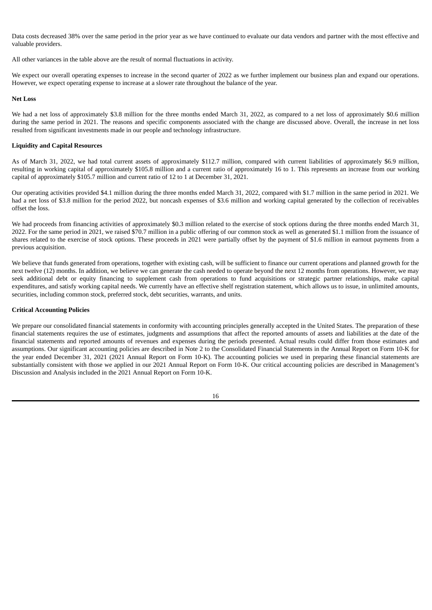Data costs decreased 38% over the same period in the prior year as we have continued to evaluate our data vendors and partner with the most effective and valuable providers.

All other variances in the table above are the result of normal fluctuations in activity.

We expect our overall operating expenses to increase in the second quarter of 2022 as we further implement our business plan and expand our operations. However, we expect operating expense to increase at a slower rate throughout the balance of the year.

#### **Net Loss**

We had a net loss of approximately \$3.8 million for the three months ended March 31, 2022, as compared to a net loss of approximately \$0.6 million during the same period in 2021. The reasons and specific components associated with the change are discussed above. Overall, the increase in net loss resulted from significant investments made in our people and technology infrastructure.

### **Liquidity and Capital Resources**

As of March 31, 2022, we had total current assets of approximately \$112.7 million, compared with current liabilities of approximately \$6.9 million, resulting in working capital of approximately \$105.8 million and a current ratio of approximately 16 to 1. This represents an increase from our working capital of approximately \$105.7 million and current ratio of 12 to 1 at December 31, 2021.

Our operating activities provided \$4.1 million during the three months ended March 31, 2022, compared with \$1.7 million in the same period in 2021. We had a net loss of \$3.8 million for the period 2022, but noncash expenses of \$3.6 million and working capital generated by the collection of receivables offset the loss.

We had proceeds from financing activities of approximately \$0.3 million related to the exercise of stock options during the three months ended March 31, 2022. For the same period in 2021, we raised \$70.7 million in a public offering of our common stock as well as generated \$1.1 million from the issuance of shares related to the exercise of stock options. These proceeds in 2021 were partially offset by the payment of \$1.6 million in earnout payments from a previous acquisition.

We believe that funds generated from operations, together with existing cash, will be sufficient to finance our current operations and planned growth for the next twelve (12) months. In addition, we believe we can generate the cash needed to operate beyond the next 12 months from operations. However, we may seek additional debt or equity financing to supplement cash from operations to fund acquisitions or strategic partner relationships, make capital expenditures, and satisfy working capital needs. We currently have an effective shelf registration statement, which allows us to issue, in unlimited amounts, securities, including common stock, preferred stock, debt securities, warrants, and units.

## **Critical Accounting Policies**

We prepare our consolidated financial statements in conformity with accounting principles generally accepted in the United States. The preparation of these financial statements requires the use of estimates, judgments and assumptions that affect the reported amounts of assets and liabilities at the date of the financial statements and reported amounts of revenues and expenses during the periods presented. Actual results could differ from those estimates and assumptions. Our significant accounting policies are described in Note 2 to the Consolidated Financial Statements in the Annual Report on Form 10-K for the year ended December 31, 2021 (2021 Annual Report on Form 10-K). The accounting policies we used in preparing these financial statements are substantially consistent with those we applied in our 2021 Annual Report on Form 10-K. Our critical accounting policies are described in Management's Discussion and Analysis included in the 2021 Annual Report on Form 10-K.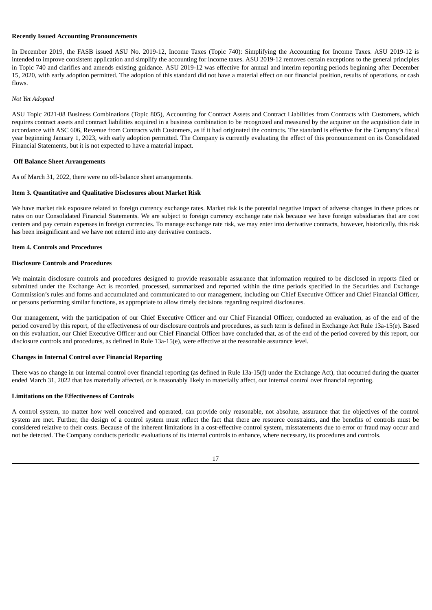## **Recently Issued Accounting Pronouncements**

In December 2019, the FASB issued ASU No. 2019-12, Income Taxes (Topic 740): Simplifying the Accounting for Income Taxes. ASU 2019-12 is intended to improve consistent application and simplify the accounting for income taxes. ASU 2019-12 removes certain exceptions to the general principles in Topic 740 and clarifies and amends existing guidance. ASU 2019-12 was effective for annual and interim reporting periods beginning after December 15, 2020, with early adoption permitted. The adoption of this standard did not have a material effect on our financial position, results of operations, or cash flows.

#### *Not Yet Adopted*

ASU Topic 2021-08 Business Combinations (Topic 805), Accounting for Contract Assets and Contract Liabilities from Contracts with Customers, which requires contract assets and contract liabilities acquired in a business combination to be recognized and measured by the acquirer on the acquisition date in accordance with ASC 606, Revenue from Contracts with Customers, as if it had originated the contracts. The standard is effective for the Company's fiscal year beginning January 1, 2023, with early adoption permitted. The Company is currently evaluating the effect of this pronouncement on its Consolidated Financial Statements, but it is not expected to have a material impact.

## **Off Balance Sheet Arrangements**

As of March 31, 2022, there were no off-balance sheet arrangements.

#### <span id="page-18-0"></span>**Item 3. Quantitative and Qualitative Disclosures about Market Risk**

We have market risk exposure related to foreign currency exchange rates. Market risk is the potential negative impact of adverse changes in these prices or rates on our Consolidated Financial Statements. We are subject to foreign currency exchange rate risk because we have foreign subsidiaries that are cost centers and pay certain expenses in foreign currencies. To manage exchange rate risk, we may enter into derivative contracts, however, historically, this risk has been insignificant and we have not entered into any derivative contracts.

#### <span id="page-18-1"></span>**Item 4. Controls and Procedures**

#### **Disclosure Controls and Procedures**

We maintain disclosure controls and procedures designed to provide reasonable assurance that information required to be disclosed in reports filed or submitted under the Exchange Act is recorded, processed, summarized and reported within the time periods specified in the Securities and Exchange Commission's rules and forms and accumulated and communicated to our management, including our Chief Executive Officer and Chief Financial Officer, or persons performing similar functions, as appropriate to allow timely decisions regarding required disclosures.

Our management, with the participation of our Chief Executive Officer and our Chief Financial Officer, conducted an evaluation, as of the end of the period covered by this report, of the effectiveness of our disclosure controls and procedures, as such term is defined in Exchange Act Rule 13a-15(e). Based on this evaluation, our Chief Executive Officer and our Chief Financial Officer have concluded that, as of the end of the period covered by this report, our disclosure controls and procedures, as defined in Rule 13a-15(e), were effective at the reasonable assurance level.

#### **Changes in Internal Control over Financial Reporting**

There was no change in our internal control over financial reporting (as defined in Rule 13a-15(f) under the Exchange Act), that occurred during the quarter ended March 31, 2022 that has materially affected, or is reasonably likely to materially affect, our internal control over financial reporting.

#### **Limitations on the Effectiveness of Controls**

A control system, no matter how well conceived and operated, can provide only reasonable, not absolute, assurance that the objectives of the control system are met. Further, the design of a control system must reflect the fact that there are resource constraints, and the benefits of controls must be considered relative to their costs. Because of the inherent limitations in a cost-effective control system, misstatements due to error or fraud may occur and not be detected. The Company conducts periodic evaluations of its internal controls to enhance, where necessary, its procedures and controls.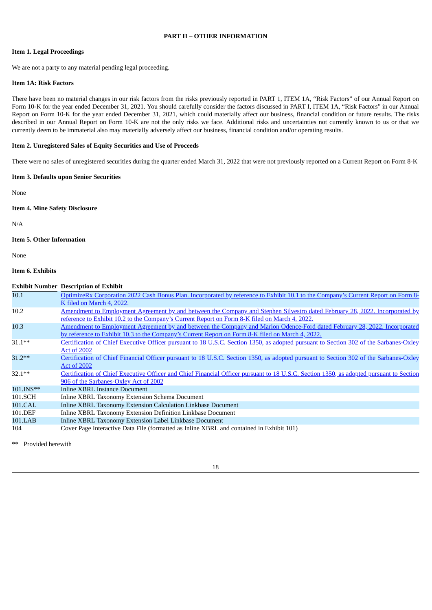## **PART II – OTHER INFORMATION**

## <span id="page-19-1"></span><span id="page-19-0"></span>**Item 1. Legal Proceedings**

We are not a party to any material pending legal proceeding.

#### <span id="page-19-2"></span>**Item 1A: Risk Factors**

There have been no material changes in our risk factors from the risks previously reported in PART 1, ITEM 1A, "Risk Factors" of our Annual Report on Form 10-K for the year ended December 31, 2021. You should carefully consider the factors discussed in PART I, ITEM 1A, "Risk Factors" in our Annual Report on Form 10-K for the year ended December 31, 2021, which could materially affect our business, financial condition or future results. The risks described in our Annual Report on Form 10-K are not the only risks we face. Additional risks and uncertainties not currently known to us or that we currently deem to be immaterial also may materially adversely affect our business, financial condition and/or operating results.

### <span id="page-19-3"></span>**Item 2. Unregistered Sales of Equity Securities and Use of Proceeds**

There were no sales of unregistered securities during the quarter ended March 31, 2022 that were not previously reported on a Current Report on Form 8-K

#### <span id="page-19-4"></span>**Item 3. Defaults upon Senior Securities**

None

#### <span id="page-19-5"></span>**Item 4. Mine Safety Disclosure**

N/A

#### <span id="page-19-6"></span>**Item 5. Other Information**

None

## <span id="page-19-7"></span>**Item 6. Exhibits**

# **Exhibit Number Description of Exhibit**

|             | <b>EXHIBIL NUMBER DESCRIPTION OF EXHIBIT</b>                                                                                            |
|-------------|-----------------------------------------------------------------------------------------------------------------------------------------|
| 10.1        | OptimizeRx Corporation 2022 Cash Bonus Plan. Incorporated by reference to Exhibit 10.1 to the Company's Current Report on Form 8-       |
|             | K filed on March 4, 2022.                                                                                                               |
| 10.2        | Amendment to Employment Agreement by and between the Company and Stephen Silvestro dated February 28, 2022. Incorporated by             |
|             | reference to Exhibit 10.2 to the Company's Current Report on Form 8-K filed on March 4, 2022.                                           |
| 10.3        | Amendment to Employment Agreement by and between the Company and Marion Odence-Ford dated February 28, 2022. Incorporated               |
|             | by reference to Exhibit 10.3 to the Company's Current Report on Form 8-K filed on March 4, 2022.                                        |
| $31.1***$   | Certification of Chief Executive Officer pursuant to 18 U.S.C. Section 1350, as adopted pursuant to Section 302 of the Sarbanes-Oxley   |
|             | <b>Act of 2002</b>                                                                                                                      |
| $31.2**$    | Certification of Chief Financial Officer pursuant to 18 U.S.C. Section 1350, as adopted pursuant to Section 302 of the Sarbanes-Oxley   |
|             | <b>Act of 2002</b>                                                                                                                      |
| $32.1**$    | Certification of Chief Executive Officer and Chief Financial Officer pursuant to 18 U.S.C. Section 1350, as adopted pursuant to Section |
|             | 906 of the Sarbanes-Oxley Act of 2002                                                                                                   |
| $101.INS**$ | <b>Inline XBRL Instance Document</b>                                                                                                    |
| 101.SCH     | Inline XBRL Taxonomy Extension Schema Document                                                                                          |
| 101.CAL     | Inline XBRL Taxonomy Extension Calculation Linkbase Document                                                                            |
| 101.DEF     | Inline XBRL Taxonomy Extension Definition Linkbase Document                                                                             |
| 101.LAB     | Inline XBRL Taxonomy Extension Label Linkbase Document                                                                                  |
| 104         | Cover Page Interactive Data File (formatted as Inline XBRL and contained in Exhibit 101)                                                |

\*\* Provided herewith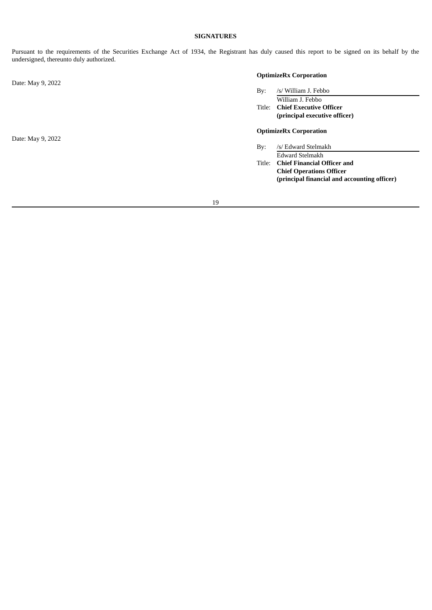## **SIGNATURES**

Pursuant to the requirements of the Securities Exchange Act of 1934, the Registrant has duly caused this report to be signed on its behalf by the undersigned, thereunto duly authorized.

Date: May 9, 2022

Date: May 9, 2022

# **OptimizeRx Corporation**

| By: | /s/ William J. Febbo                  |
|-----|---------------------------------------|
|     | William J. Febbo                      |
|     | Title: <b>Chief Executive Officer</b> |
|     | (principal executive officer)         |

# **OptimizeRx Corporation**

| By: | /s/ Edward Stelmakh |
|-----|---------------------|
|     | Edward Stelmakh     |
|     |                     |

Title: **Chief Financial Officer and Chief Operations Officer (principal financial and accounting officer)**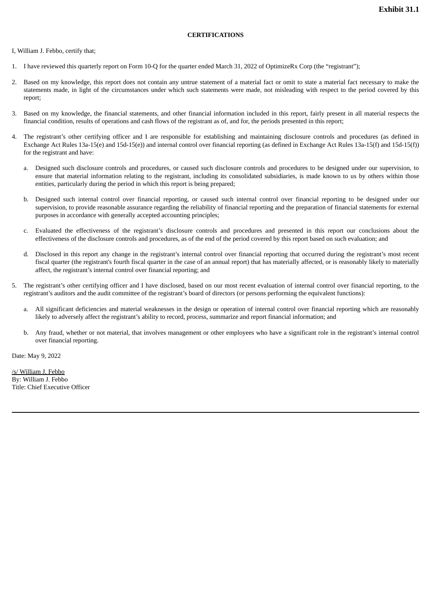# **CERTIFICATIONS**

#### <span id="page-21-0"></span>I, William J. Febbo, certify that;

- 1. I have reviewed this quarterly report on Form 10-Q for the quarter ended March 31, 2022 of OptimizeRx Corp (the "registrant");
- 2. Based on my knowledge, this report does not contain any untrue statement of a material fact or omit to state a material fact necessary to make the statements made, in light of the circumstances under which such statements were made, not misleading with respect to the period covered by this report;
- 3. Based on my knowledge, the financial statements, and other financial information included in this report, fairly present in all material respects the financial condition, results of operations and cash flows of the registrant as of, and for, the periods presented in this report;
- 4. The registrant's other certifying officer and I are responsible for establishing and maintaining disclosure controls and procedures (as defined in Exchange Act Rules 13a-15(e) and 15d-15(e)) and internal control over financial reporting (as defined in Exchange Act Rules 13a-15(f) and 15d-15(f)) for the registrant and have:
	- Designed such disclosure controls and procedures, or caused such disclosure controls and procedures to be designed under our supervision, to ensure that material information relating to the registrant, including its consolidated subsidiaries, is made known to us by others within those entities, particularly during the period in which this report is being prepared;
	- b. Designed such internal control over financial reporting, or caused such internal control over financial reporting to be designed under our supervision, to provide reasonable assurance regarding the reliability of financial reporting and the preparation of financial statements for external purposes in accordance with generally accepted accounting principles;
	- c. Evaluated the effectiveness of the registrant's disclosure controls and procedures and presented in this report our conclusions about the effectiveness of the disclosure controls and procedures, as of the end of the period covered by this report based on such evaluation; and
	- Disclosed in this report any change in the registrant's internal control over financial reporting that occurred during the registrant's most recent fiscal quarter (the registrant's fourth fiscal quarter in the case of an annual report) that has materially affected, or is reasonably likely to materially affect, the registrant's internal control over financial reporting; and
- 5. The registrant's other certifying officer and I have disclosed, based on our most recent evaluation of internal control over financial reporting, to the registrant's auditors and the audit committee of the registrant's board of directors (or persons performing the equivalent functions):
	- a. All significant deficiencies and material weaknesses in the design or operation of internal control over financial reporting which are reasonably likely to adversely affect the registrant's ability to record, process, summarize and report financial information; and
	- b. Any fraud, whether or not material, that involves management or other employees who have a significant role in the registrant's internal control over financial reporting.

Date: May 9, 2022

/s/ William J. Febbo By: William J. Febbo Title: Chief Executive Officer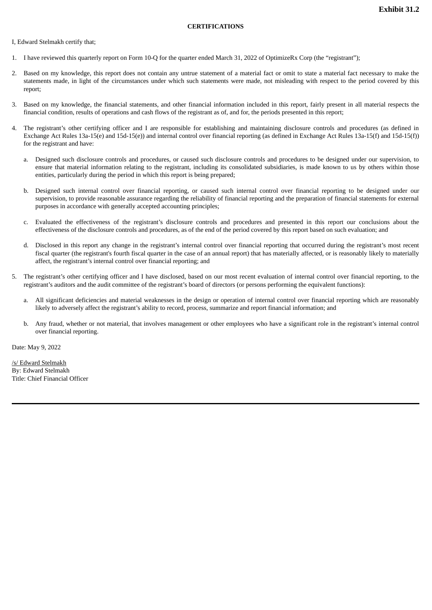#### **CERTIFICATIONS**

<span id="page-22-0"></span>I, Edward Stelmakh certify that;

- 1. I have reviewed this quarterly report on Form 10-Q for the quarter ended March 31, 2022 of OptimizeRx Corp (the "registrant");
- 2. Based on my knowledge, this report does not contain any untrue statement of a material fact or omit to state a material fact necessary to make the statements made, in light of the circumstances under which such statements were made, not misleading with respect to the period covered by this report;
- 3. Based on my knowledge, the financial statements, and other financial information included in this report, fairly present in all material respects the financial condition, results of operations and cash flows of the registrant as of, and for, the periods presented in this report;
- 4. The registrant's other certifying officer and I are responsible for establishing and maintaining disclosure controls and procedures (as defined in Exchange Act Rules 13a-15(e) and 15d-15(e)) and internal control over financial reporting (as defined in Exchange Act Rules 13a-15(f) and 15d-15(f)) for the registrant and have:
	- a. Designed such disclosure controls and procedures, or caused such disclosure controls and procedures to be designed under our supervision, to ensure that material information relating to the registrant, including its consolidated subsidiaries, is made known to us by others within those entities, particularly during the period in which this report is being prepared;
	- b. Designed such internal control over financial reporting, or caused such internal control over financial reporting to be designed under our supervision, to provide reasonable assurance regarding the reliability of financial reporting and the preparation of financial statements for external purposes in accordance with generally accepted accounting principles;
	- c. Evaluated the effectiveness of the registrant's disclosure controls and procedures and presented in this report our conclusions about the effectiveness of the disclosure controls and procedures, as of the end of the period covered by this report based on such evaluation; and
	- d. Disclosed in this report any change in the registrant's internal control over financial reporting that occurred during the registrant's most recent fiscal quarter (the registrant's fourth fiscal quarter in the case of an annual report) that has materially affected, or is reasonably likely to materially affect, the registrant's internal control over financial reporting; and
- 5. The registrant's other certifying officer and I have disclosed, based on our most recent evaluation of internal control over financial reporting, to the registrant's auditors and the audit committee of the registrant's board of directors (or persons performing the equivalent functions):
	- a. All significant deficiencies and material weaknesses in the design or operation of internal control over financial reporting which are reasonably likely to adversely affect the registrant's ability to record, process, summarize and report financial information; and
	- b. Any fraud, whether or not material, that involves management or other employees who have a significant role in the registrant's internal control over financial reporting.

Date: May 9, 2022

/s/ Edward Stelmakh By: Edward Stelmakh Title: Chief Financial Officer